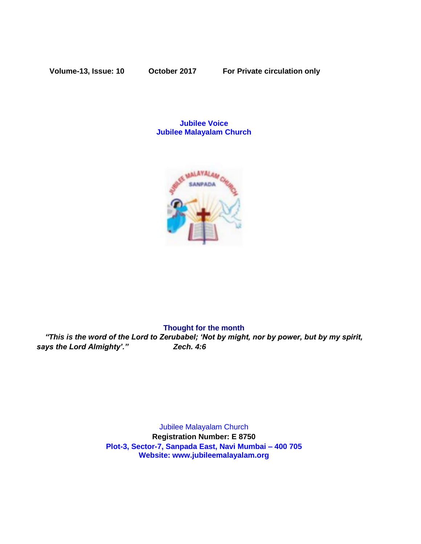**Volume-13, Issue: 10 October 2017 For Private circulation only**

# **Jubilee Voice Jubilee Malayalam Church**



#### **Thought for the month**

*"This is the word of the Lord to Zerubabel; 'Not by might, nor by power, but by my spirit, says the Lord Almighty'." Zech. 4:6*

> Jubilee Malayalam Church **Registration Number: E 8750 Plot-3, Sector-7, Sanpada East, Navi Mumbai – 400 705 Website: www.jubileemalayalam.org**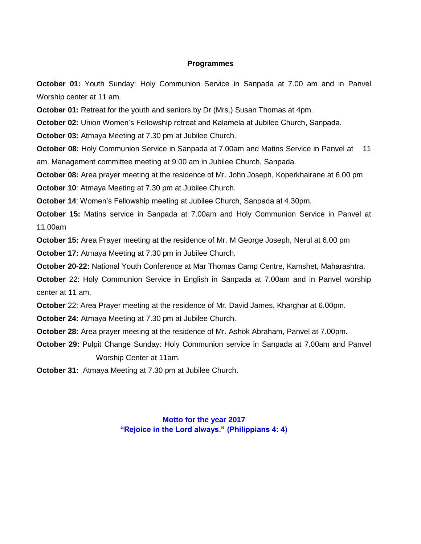#### **Programmes**

**October 01:** Youth Sunday: Holy Communion Service in Sanpada at 7.00 am and in Panvel Worship center at 11 am.

**October 01:** Retreat for the youth and seniors by Dr (Mrs.) Susan Thomas at 4pm.

**October 02:** Union Women's Fellowship retreat and Kalamela at Jubilee Church, Sanpada.

**October 03:** Atmaya Meeting at 7.30 pm at Jubilee Church.

**October 08:** Holy Communion Service in Sanpada at 7.00am and Matins Service in Panvel at 11 am. Management committee meeting at 9.00 am in Jubilee Church, Sanpada.

**October 08:** Area prayer meeting at the residence of Mr. John Joseph, Koperkhairane at 6.00 pm **October 10**: Atmaya Meeting at 7.30 pm at Jubilee Church.

**October 14**: Women's Fellowship meeting at Jubilee Church, Sanpada at 4.30pm.

**October 15:** Matins service in Sanpada at 7.00am and Holy Communion Service in Panvel at 11.00am

**October 15:** Area Prayer meeting at the residence of Mr. M George Joseph, Nerul at 6.00 pm

**October 17:** Atmaya Meeting at 7.30 pm in Jubilee Church.

**October 20-22:** National Youth Conference at Mar Thomas Camp Centre, Kamshet, Maharashtra.

**October** 22: Holy Communion Service in English in Sanpada at 7.00am and in Panvel worship center at 11 am.

**October** 22: Area Prayer meeting at the residence of Mr. David James, Kharghar at 6.00pm.

**October 24:** Atmaya Meeting at 7.30 pm at Jubilee Church.

**October 28:** Area prayer meeting at the residence of Mr. Ashok Abraham, Panvel at 7.00pm.

**October 29:** Pulpit Change Sunday: Holy Communion service in Sanpada at 7.00am and Panvel Worship Center at 11am.

**October 31:** Atmaya Meeting at 7.30 pm at Jubilee Church.

# **Motto for the year 2017 "Rejoice in the Lord always." (Philippians 4: 4)**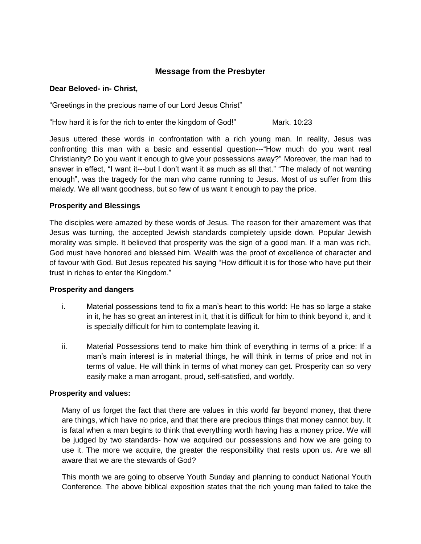# **Message from the Presbyter**

#### **Dear Beloved- in- Christ,**

"Greetings in the precious name of our Lord Jesus Christ"

"How hard it is for the rich to enter the kingdom of God!" Mark. 10:23

Jesus uttered these words in confrontation with a rich young man. In reality, Jesus was confronting this man with a basic and essential question---"How much do you want real Christianity? Do you want it enough to give your possessions away?" Moreover, the man had to answer in effect, "I want it---but I don't want it as much as all that." "The malady of not wanting enough", was the tragedy for the man who came running to Jesus. Most of us suffer from this malady. We all want goodness, but so few of us want it enough to pay the price.

# **Prosperity and Blessings**

The disciples were amazed by these words of Jesus. The reason for their amazement was that Jesus was turning, the accepted Jewish standards completely upside down. Popular Jewish morality was simple. It believed that prosperity was the sign of a good man. If a man was rich, God must have honored and blessed him. Wealth was the proof of excellence of character and of favour with God. But Jesus repeated his saying "How difficult it is for those who have put their trust in riches to enter the Kingdom."

#### **Prosperity and dangers**

- i. Material possessions tend to fix a man's heart to this world: He has so large a stake in it, he has so great an interest in it, that it is difficult for him to think beyond it, and it is specially difficult for him to contemplate leaving it.
- ii. Material Possessions tend to make him think of everything in terms of a price: If a man's main interest is in material things, he will think in terms of price and not in terms of value. He will think in terms of what money can get. Prosperity can so very easily make a man arrogant, proud, self-satisfied, and worldly.

# **Prosperity and values:**

Many of us forget the fact that there are values in this world far beyond money, that there are things, which have no price, and that there are precious things that money cannot buy. It is fatal when a man begins to think that everything worth having has a money price. We will be judged by two standards- how we acquired our possessions and how we are going to use it. The more we acquire, the greater the responsibility that rests upon us. Are we all aware that we are the stewards of God?

This month we are going to observe Youth Sunday and planning to conduct National Youth Conference. The above biblical exposition states that the rich young man failed to take the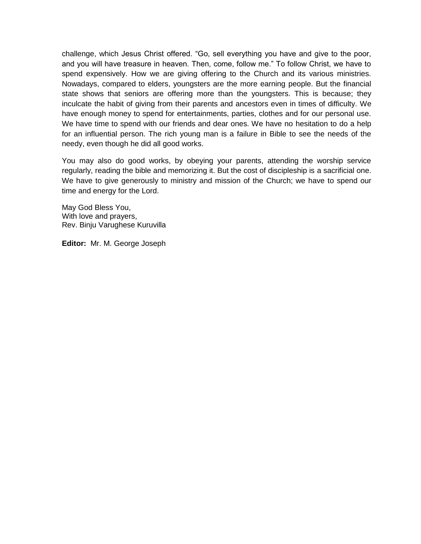challenge, which Jesus Christ offered. "Go, sell everything you have and give to the poor, and you will have treasure in heaven. Then, come, follow me." To follow Christ, we have to spend expensively. How we are giving offering to the Church and its various ministries. Nowadays, compared to elders, youngsters are the more earning people. But the financial state shows that seniors are offering more than the youngsters. This is because; they inculcate the habit of giving from their parents and ancestors even in times of difficulty. We have enough money to spend for entertainments, parties, clothes and for our personal use. We have time to spend with our friends and dear ones. We have no hesitation to do a help for an influential person. The rich young man is a failure in Bible to see the needs of the needy, even though he did all good works.

You may also do good works, by obeying your parents, attending the worship service regularly, reading the bible and memorizing it. But the cost of discipleship is a sacrificial one. We have to give generously to ministry and mission of the Church; we have to spend our time and energy for the Lord.

May God Bless You, With love and prayers, Rev. Binju Varughese Kuruvilla

**Editor:** Mr. M. George Joseph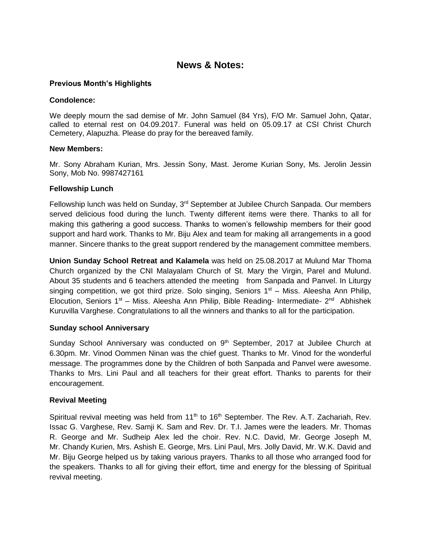# **News & Notes:**

### **Previous Month's Highlights**

#### **Condolence:**

We deeply mourn the sad demise of Mr. John Samuel (84 Yrs), F/O Mr. Samuel John, Qatar, called to eternal rest on 04.09.2017. Funeral was held on 05.09.17 at CSI Christ Church Cemetery, Alapuzha. Please do pray for the bereaved family.

#### **New Members:**

Mr. Sony Abraham Kurian, Mrs. Jessin Sony, Mast. Jerome Kurian Sony, Ms. Jerolin Jessin Sony, Mob No. 9987427161

#### **Fellowship Lunch**

Fellowship lunch was held on Sunday, 3<sup>rd</sup> September at Jubilee Church Sanpada. Our members served delicious food during the lunch. Twenty different items were there. Thanks to all for making this gathering a good success. Thanks to women's fellowship members for their good support and hard work. Thanks to Mr. Biju Alex and team for making all arrangements in a good manner. Sincere thanks to the great support rendered by the management committee members.

**Union Sunday School Retreat and Kalamela** was held on 25.08.2017 at Mulund Mar Thoma Church organized by the CNI Malayalam Church of St. Mary the Virgin, Parel and Mulund. About 35 students and 6 teachers attended the meeting from Sanpada and Panvel. In Liturgy singing competition, we got third prize. Solo singing, Seniors  $1<sup>st</sup>$  – Miss. Aleesha Ann Philip, Elocution, Seniors 1<sup>st</sup> – Miss. Aleesha Ann Philip, Bible Reading- Intermediate- 2<sup>nd</sup> Abhishek Kuruvilla Varghese. Congratulations to all the winners and thanks to all for the participation.

# **Sunday school Anniversary**

Sunday School Anniversary was conducted on 9<sup>th</sup> September, 2017 at Jubilee Church at 6.30pm. Mr. Vinod Oommen Ninan was the chief guest. Thanks to Mr. Vinod for the wonderful message. The programmes done by the Children of both Sanpada and Panvel were awesome. Thanks to Mrs. Lini Paul and all teachers for their great effort. Thanks to parents for their encouragement.

# **Revival Meeting**

Spiritual revival meeting was held from 11<sup>th</sup> to 16<sup>th</sup> September. The Rev. A.T. Zachariah, Rev. Issac G. Varghese, Rev. Samji K. Sam and Rev. Dr. T.I. James were the leaders. Mr. Thomas R. George and Mr. Sudheip Alex led the choir. Rev. N.C. David, Mr. George Joseph M, Mr. Chandy Kurien, Mrs. Ashish E. George, Mrs. Lini Paul, Mrs. Jolly David, Mr. W.K. David and Mr. Biju George helped us by taking various prayers. Thanks to all those who arranged food for the speakers. Thanks to all for giving their effort, time and energy for the blessing of Spiritual revival meeting.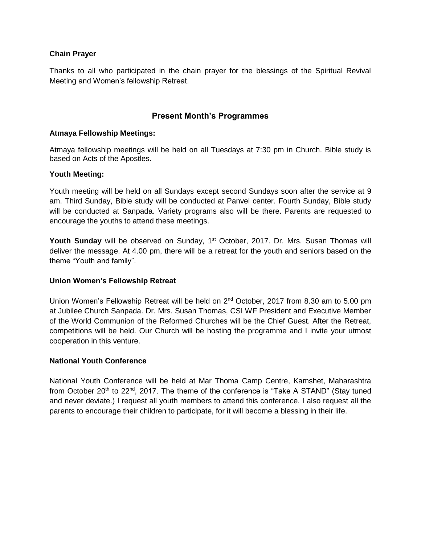# **Chain Prayer**

Thanks to all who participated in the chain prayer for the blessings of the Spiritual Revival Meeting and Women's fellowship Retreat.

# **Present Month's Programmes**

### **Atmaya Fellowship Meetings:**

Atmaya fellowship meetings will be held on all Tuesdays at 7:30 pm in Church. Bible study is based on Acts of the Apostles.

#### **Youth Meeting:**

Youth meeting will be held on all Sundays except second Sundays soon after the service at 9 am. Third Sunday, Bible study will be conducted at Panvel center. Fourth Sunday, Bible study will be conducted at Sanpada. Variety programs also will be there. Parents are requested to encourage the youths to attend these meetings.

**Youth Sunday** will be observed on Sunday, 1<sup>st</sup> October, 2017. Dr. Mrs. Susan Thomas will deliver the message. At 4.00 pm, there will be a retreat for the youth and seniors based on the theme "Youth and family".

# **Union Women's Fellowship Retreat**

Union Women's Fellowship Retreat will be held on 2<sup>nd</sup> October, 2017 from 8.30 am to 5.00 pm at Jubilee Church Sanpada. Dr. Mrs. Susan Thomas, CSI WF President and Executive Member of the World Communion of the Reformed Churches will be the Chief Guest. After the Retreat, competitions will be held. Our Church will be hosting the programme and I invite your utmost cooperation in this venture.

# **National Youth Conference**

National Youth Conference will be held at Mar Thoma Camp Centre, Kamshet, Maharashtra from October 20<sup>th</sup> to 22<sup>nd</sup>, 2017. The theme of the conference is "Take A STAND" (Stay tuned and never deviate.) I request all youth members to attend this conference. I also request all the parents to encourage their children to participate, for it will become a blessing in their life.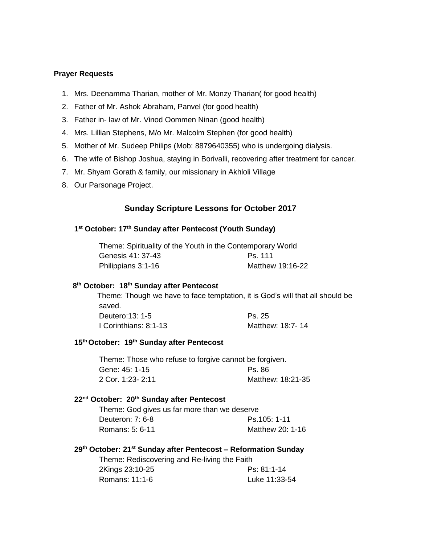#### **Prayer Requests**

- 1. Mrs. Deenamma Tharian, mother of Mr. Monzy Tharian( for good health)
- 2. Father of Mr. Ashok Abraham, Panvel (for good health)
- 3. Father in- law of Mr. Vinod Oommen Ninan (good health)
- 4. Mrs. Lillian Stephens, M/o Mr. Malcolm Stephen (for good health)
- 5. Mother of Mr. Sudeep Philips (Mob: 8879640355) who is undergoing dialysis.
- 6. The wife of Bishop Joshua, staying in Borivalli, recovering after treatment for cancer.
- 7. Mr. Shyam Gorath & family, our missionary in Akhloli Village
- 8. Our Parsonage Project.

# **Sunday Scripture Lessons for October 2017**

#### **1 st October: 17 th Sunday after Pentecost (Youth Sunday)**

| Theme: Spirituality of the Youth in the Contemporary World |                  |  |
|------------------------------------------------------------|------------------|--|
| Genesis 41: 37-43                                          | Ps. 111          |  |
| Philippians 3:1-16                                         | Matthew 19:16-22 |  |

#### **8 th October: 18 th Sunday after Pentecost**

 Theme: Though we have to face temptation, it is God's will that all should be saved. Deutero:13: 1-5 Ps. 25 I Corinthians: 8:1-13 Matthew: 18:7- 14

#### **15th October: 19 th Sunday after Pentecost**

Theme: Those who refuse to forgive cannot be forgiven. Gene: 45: 1-15 Ps. 86 2 Cor. 1:23- 2:11 Matthew: 18:21-35

#### **22nd October: 20th Sunday after Pentecost**

Theme: God gives us far more than we deserve Deuteron: 7: 6-8 Ps.105: 1-11 Romans: 5: 6-11 Matthew 20: 1-16

#### **29th October: 21st Sunday after Pentecost – Reformation Sunday**

Theme: Rediscovering and Re-living the Faith 2Kings 23:10-25 Ps: 81:1-14 Romans: 11:1-6 Luke 11:33-54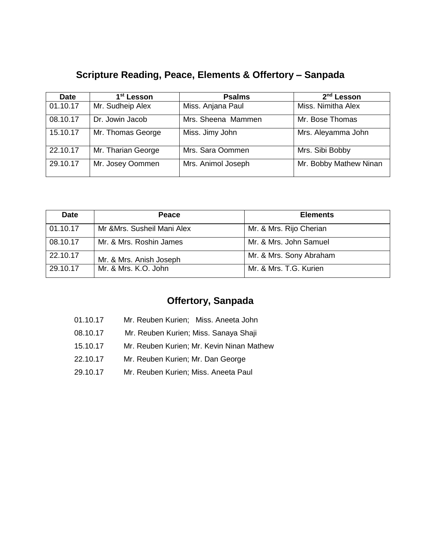# **Scripture Reading, Peace, Elements & Offertory – Sanpada**

| <b>Date</b> | 1 <sup>st</sup> Lesson | <b>Psalms</b>      | 2 <sup>nd</sup> Lesson |
|-------------|------------------------|--------------------|------------------------|
| 01.10.17    | Mr. Sudheip Alex       | Miss. Anjana Paul  | Miss. Nimitha Alex     |
| 08.10.17    | Dr. Jowin Jacob        | Mrs. Sheena Mammen | Mr. Bose Thomas        |
| 15.10.17    | Mr. Thomas George      | Miss. Jimy John    | Mrs. Aleyamma John     |
| 22.10.17    | Mr. Tharian George     | Mrs. Sara Oommen   | Mrs. Sibi Bobby        |
| 29.10.17    | Mr. Josey Oommen       | Mrs. Animol Joseph | Mr. Bobby Mathew Ninan |

| <b>Date</b> | <b>Peace</b>                | <b>Elements</b>         |
|-------------|-----------------------------|-------------------------|
| 01.10.17    | Mr & Mrs. Susheil Mani Alex | Mr. & Mrs. Rijo Cherian |
| 08.10.17    | Mr. & Mrs. Roshin James     | Mr. & Mrs. John Samuel  |
| 22.10.17    | Mr. & Mrs. Anish Joseph     | Mr. & Mrs. Sony Abraham |
| 29.10.17    | Mr. & Mrs. K.O. John        | Mr. & Mrs. T.G. Kurien  |

# **Offertory, Sanpada**

- 01.10.17 Mr. Reuben Kurien; Miss. Aneeta John
- 08.10.17 Mr. Reuben Kurien; Miss. Sanaya Shaji
- 15.10.17 Mr. Reuben Kurien; Mr. Kevin Ninan Mathew
- 22.10.17 Mr. Reuben Kurien; Mr. Dan George
- 29.10.17 Mr. Reuben Kurien; Miss. Aneeta Paul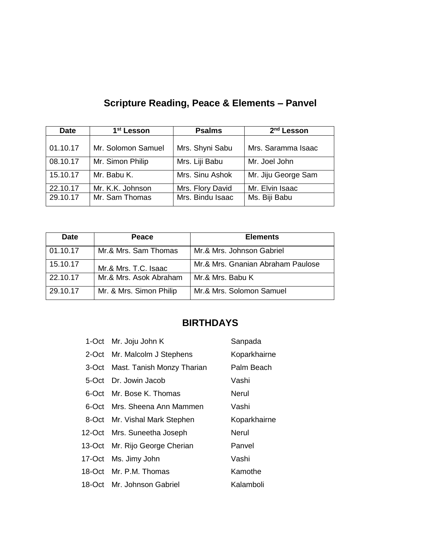| <b>Date</b> | 1 <sup>st</sup> Lesson | <b>Psalms</b>    | $2nd$ Lesson        |
|-------------|------------------------|------------------|---------------------|
| 01.10.17    | Mr. Solomon Samuel     | Mrs. Shyni Sabu  | Mrs. Saramma Isaac  |
| 08.10.17    | Mr. Simon Philip       | Mrs. Liji Babu   | Mr. Joel John       |
| 15.10.17    | Mr. Babu K.            | Mrs. Sinu Ashok  | Mr. Jiju George Sam |
| 22.10.17    | Mr. K.K. Johnson       | Mrs. Flory David | Mr. Elvin Isaac     |
| 29.10.17    | Mr. Sam Thomas         | Mrs. Bindu Isaac | Ms. Biji Babu       |

# **Scripture Reading, Peace & Elements – Panvel**

| <b>Date</b> | Peace                   | <b>Elements</b>                   |
|-------------|-------------------------|-----------------------------------|
| 01.10.17    | Mr.& Mrs. Sam Thomas    | Mr.& Mrs. Johnson Gabriel         |
| 15.10.17    | Mr.& Mrs. T.C. Isaac    | Mr.& Mrs. Gnanian Abraham Paulose |
| 22.10.17    | Mr.& Mrs. Asok Abraham  | Mr.& Mrs. Babu K                  |
| 29.10.17    | Mr. & Mrs. Simon Philip | Mr.& Mrs. Solomon Samuel          |

# **BIRTHDAYS**

| 1-Oct Mr. Joju John K            | Sanpada      |
|----------------------------------|--------------|
| 2-Oct Mr. Malcolm J Stephens     | Koparkhairne |
| 3-Oct Mast. Tanish Monzy Tharian | Palm Beach   |
| 5-Oct Dr. Jowin Jacob            | Vashi        |
| 6-Oct Mr. Bose K. Thomas         | Nerul        |
| 6-Oct Mrs. Sheena Ann Mammen     | Vashi        |
| 8-Oct Mr. Vishal Mark Stephen    | Koparkhairne |
| 12-Oct Mrs. Suneetha Joseph      | Nerul        |
| 13-Oct Mr. Rijo George Cherian   | Panvel       |
| 17-Oct Ms. Jimy John             | Vashi        |
| 18-Oct Mr. P.M. Thomas           | Kamothe      |
| 18-Oct Mr. Johnson Gabriel       | Kalamboli    |